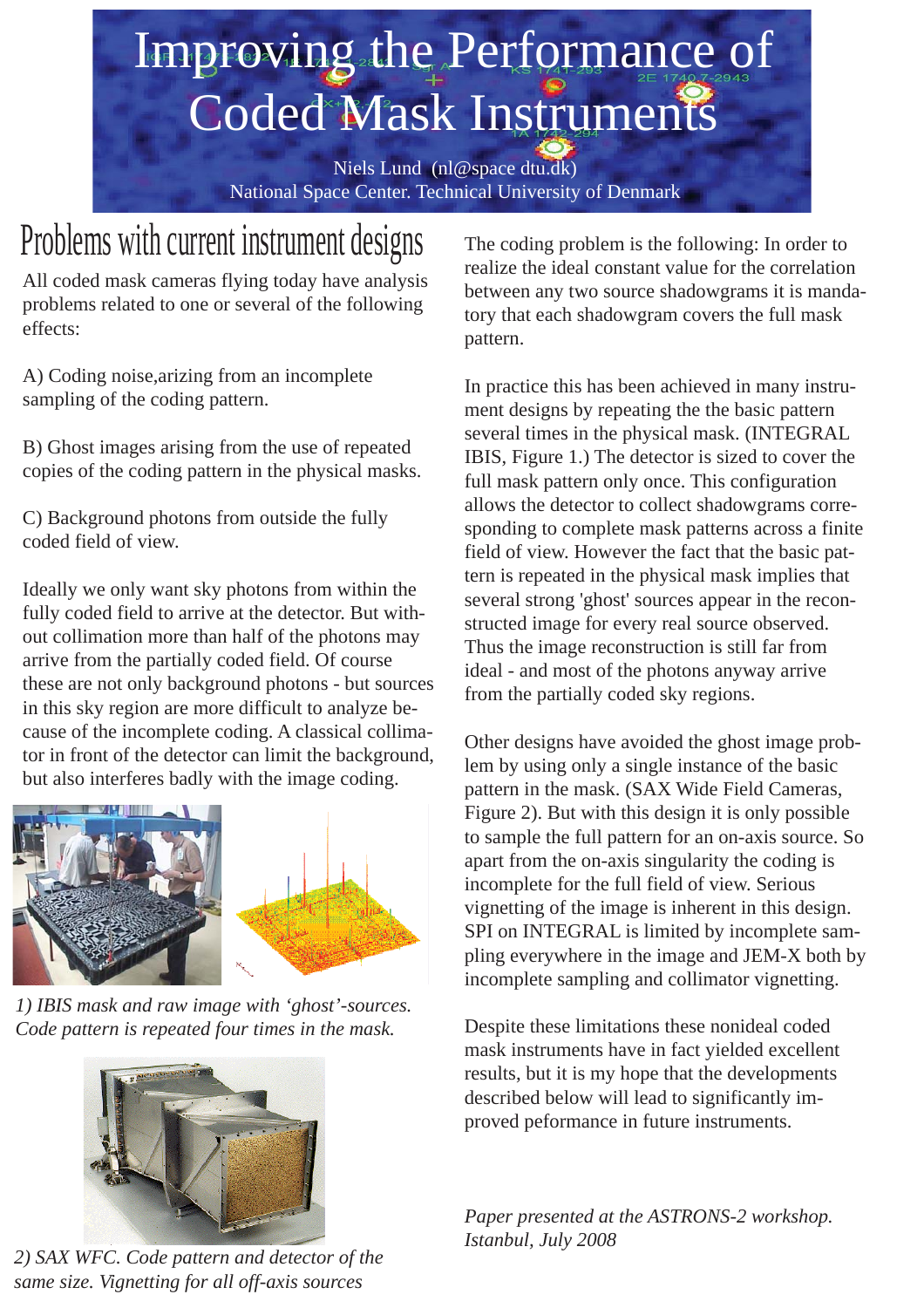### Improving the Performance of Coded Mask Instruments

Niels Lund (nl@space dtu.dk) National Space Center. Technical University of Denmark

### Problems with current instrument designs

All coded mask cameras flying today have analysis problems related to one or several of the following effects:

A) Coding noise,arizing from an incomplete sampling of the coding pattern.

B) Ghost images arising from the use of repeated copies of the coding pattern in the physical masks.

C) Background photons from outside the fully coded field of view.

Ideally we only want sky photons from within the fully coded field to arrive at the detector. But without collimation more than half of the photons may arrive from the partially coded field. Of course these are not only background photons - but sources in this sky region are more difficult to analyze because of the incomplete coding. A classical collimator in front of the detector can limit the background, but also interferes badly with the image coding.



*1) IBIS mask and raw image with 'ghost'-sources. Code pattern is repeated four times in the mask.*



*2) SAX WFC. Code pattern and detector of the same size. Vignetting for all off-axis sources*

The coding problem is the following: In order to realize the ideal constant value for the correlation between any two source shadowgrams it is mandatory that each shadowgram covers the full mask pattern.

In practice this has been achieved in many instrument designs by repeating the the basic pattern several times in the physical mask. (INTEGRAL IBIS, Figure 1.) The detector is sized to cover the full mask pattern only once. This configuration allows the detector to collect shadowgrams corresponding to complete mask patterns across a finite field of view. However the fact that the basic pattern is repeated in the physical mask implies that several strong 'ghost' sources appear in the reconstructed image for every real source observed. Thus the image reconstruction is still far from ideal - and most of the photons anyway arrive from the partially coded sky regions.

Other designs have avoided the ghost image problem by using only a single instance of the basic pattern in the mask. (SAX Wide Field Cameras, Figure 2). But with this design it is only possible to sample the full pattern for an on-axis source. So apart from the on-axis singularity the coding is incomplete for the full field of view. Serious vignetting of the image is inherent in this design. SPI on INTEGRAL is limited by incomplete sampling everywhere in the image and JEM-X both by incomplete sampling and collimator vignetting.

Despite these limitations these nonideal coded mask instruments have in fact yielded excellent results, but it is my hope that the developments described below will lead to significantly improved peformance in future instruments.

*Paper presented at the ASTRONS-2 workshop. Istanbul, July 2008*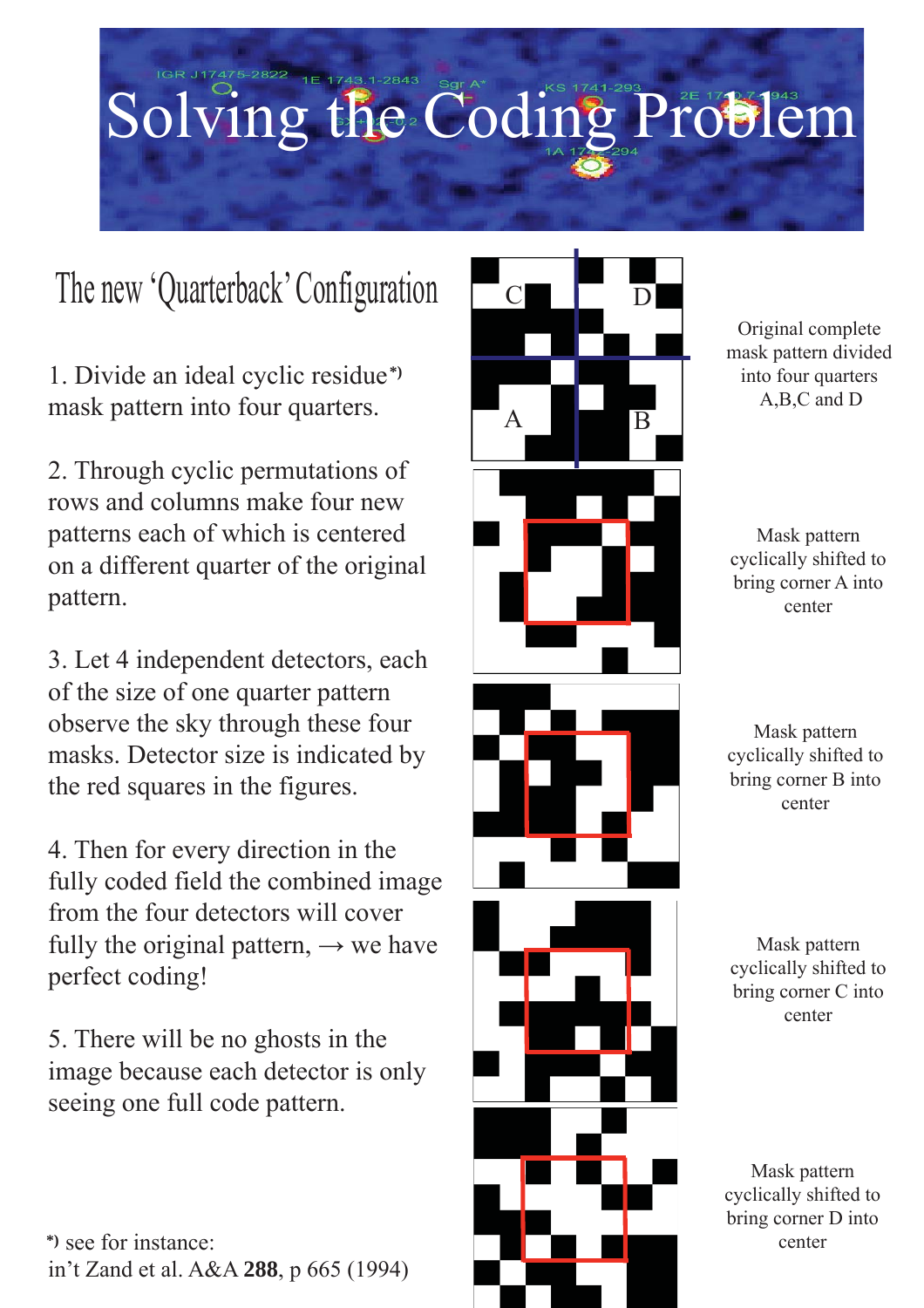## Solving the Coding Problem

### The new 'Quarterback' Configuration

1. Divide an ideal cyclic residue **\*)** mask pattern into four quarters.

2. Through cyclic permutations of rows and columns make four new patterns each of which is centered on a different quarter of the original pattern.

3. Let 4 independent detectors, each of the size of one quarter pattern observe the sky through these four masks. Detector size is indicated by the red squares in the figures.

4. Then for every direction in the fully coded field the combined image from the four detectors will cover fully the original pattern,  $\rightarrow$  we have perfect coding!

5. There will be no ghosts in the image because each detector is only seeing one full code pattern.

 see for instance: **\*)**in't Zand et al. A&A **288**, p 665 (1994)



Original complete mask pattern divided into four quarters A,B,C and D

Mask pattern cyclically shifted to bring corner A into center

Mask pattern cyclically shifted to bring corner B into center

Mask pattern cyclically shifted to bring corner C into center

Mask pattern cyclically shifted to bring corner D into center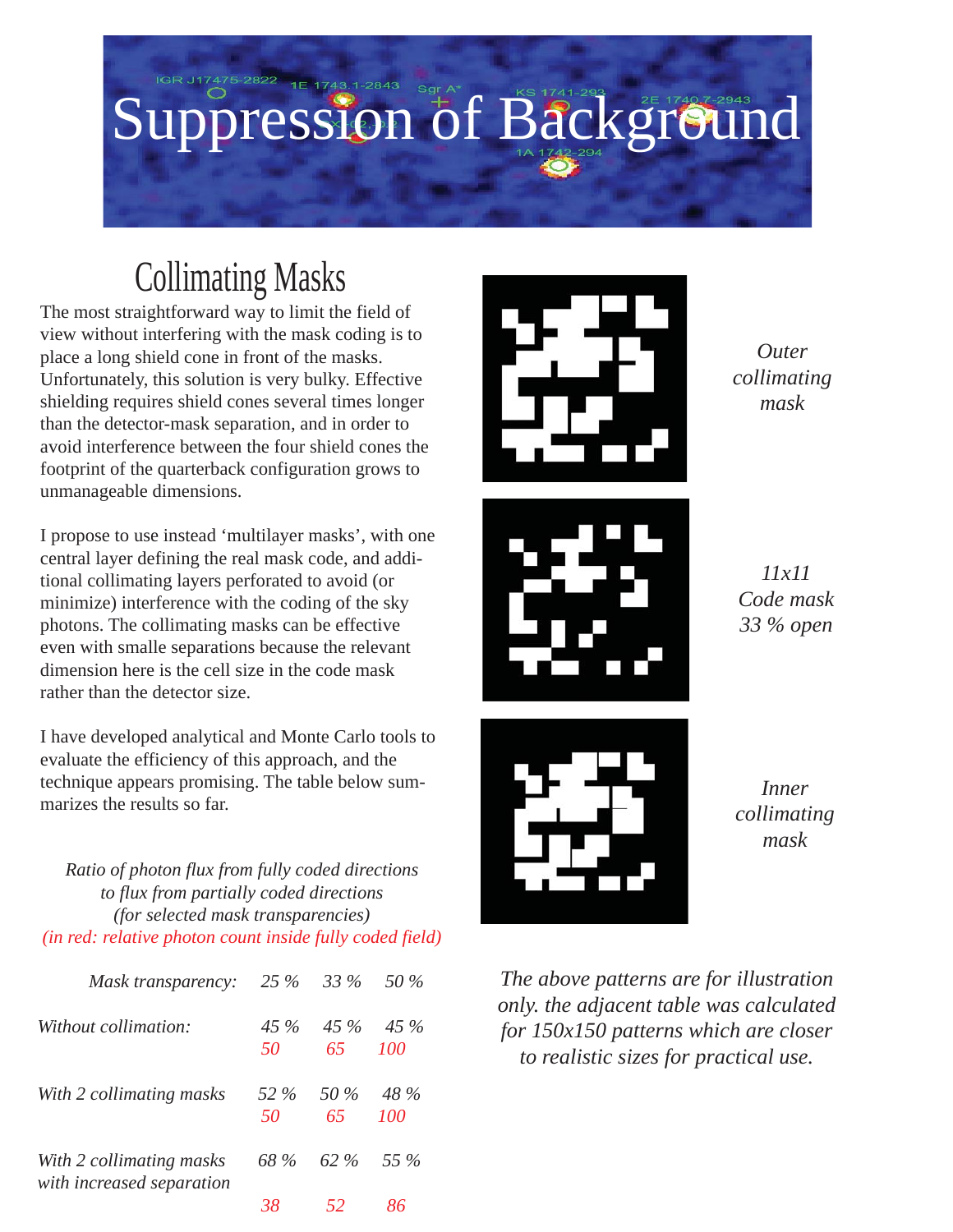# Suppression of Background

### Collimating Masks

The most straightforward way to limit the field of view without interfering with the mask coding is to place a long shield cone in front of the masks. Unfortunately, this solution is very bulky. Effective shielding requires shield cones several times longer than the detector-mask separation, and in order to avoid interference between the four shield cones the footprint of the quarterback configuration grows to unmanageable dimensions.

I propose to use instead 'multilayer masks', with one central layer defining the real mask code, and additional collimating layers perforated to avoid (or minimize) interference with the coding of the sky photons. The collimating masks can be effective even with smalle separations because the relevant dimension here is the cell size in the code mask rather than the detector size.

I have developed analytical and Monte Carlo tools to evaluate the efficiency of this approach, and the technique appears promising. The table below summarizes the results so far.

*Ratio of photon flux from fully coded directions to flux from partially coded directions (for selected mask transparencies) (in red: relative photon count inside fully coded field)*

| Mask transparency:                                    |            | 25 % 33 % 50 %           |                    |
|-------------------------------------------------------|------------|--------------------------|--------------------|
| Without collimation:                                  | 50         | 45 % 45 % 45 %<br>65 100 |                    |
| With 2 collimating masks                              | 52 %<br>50 | 50 %<br>65               | 48 %<br><i>100</i> |
| With 2 collimating masks<br>with increased separation | 68 %       | 62 %                     | 55 %               |
|                                                       | 38         | -52                      |                    |



*Outer collimating mask*



*11x11 Code mask 33 % open*



*Inner collimating mask*

*The above patterns are for illustration only. the adjacent table was calculated for 150x150 patterns which are closer to realistic sizes for practical use.*